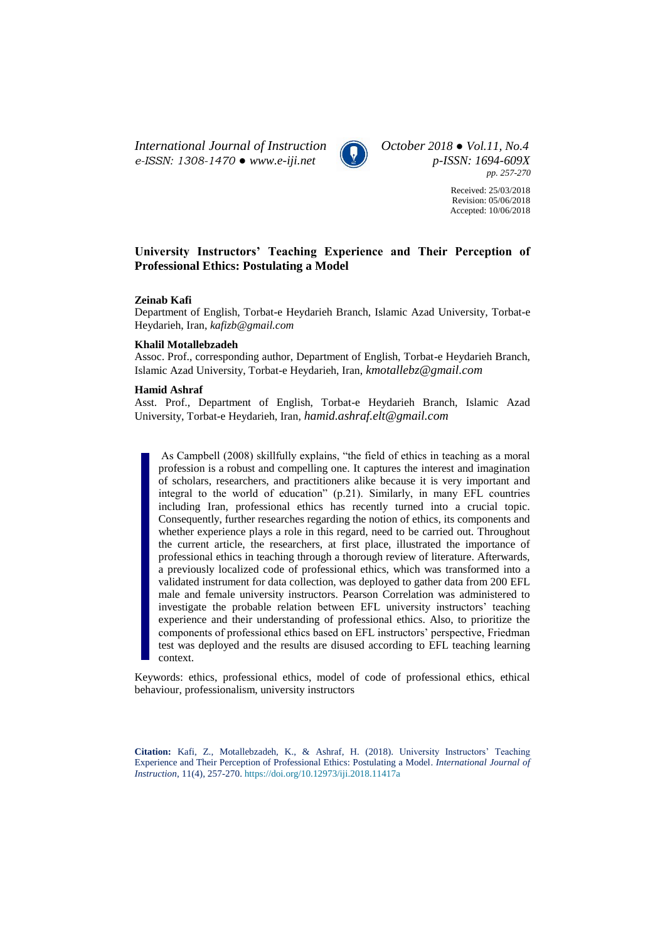*International Journal of Instruction October 2018 ● Vol.11, No.4 e-ISSN: 1308-1470 ● [www.e-iji.net](http://www.e-iji.net/) p-ISSN: 1694-609X*



*pp. 257-270*

Received: 25/03/2018 Revision: 05/06/2018 Accepted: 10/06/2018

# **University Instructors' Teaching Experience and Their Perception of Professional Ethics: Postulating a Model**

#### **Zeinab Kafi**

Department of English, Torbat-e Heydarieh Branch, Islamic Azad University, Torbat-e Heydarieh, Iran, *[kafizb@gmail.com](mailto:kafizb@gmail.com)*

### **Khalil Motallebzadeh**

Assoc. Prof., corresponding author, Department of English, Torbat-e Heydarieh Branch, Islamic Azad University, Torbat-e Heydarieh, Iran, *[kmotallebz@gmail.com](mailto:kmotallebz@gmail.com)*

#### **Hamid Ashraf**

Asst. Prof., Department of English, Torbat-e Heydarieh Branch, Islamic Azad University, Torbat-e Heydarieh, Iran, *[hamid.ashraf.elt@gmail.com](mailto:hamid.ashraf.elt@gmail.com)*

As Campbell (2008) skillfully explains, "the field of ethics in teaching as a moral profession is a robust and compelling one. It captures the interest and imagination of scholars, researchers, and practitioners alike because it is very important and integral to the world of education" (p.21). Similarly, in many EFL countries including Iran, professional ethics has recently turned into a crucial topic. Consequently, further researches regarding the notion of ethics, its components and whether experience plays a role in this regard, need to be carried out. Throughout the current article, the researchers, at first place, illustrated the importance of professional ethics in teaching through a thorough review of literature. Afterwards, a previously localized code of professional ethics, which was transformed into a validated instrument for data collection, was deployed to gather data from 200 EFL male and female university instructors. Pearson Correlation was administered to investigate the probable relation between EFL university instructors' teaching experience and their understanding of professional ethics. Also, to prioritize the components of professional ethics based on EFL instructors' perspective, Friedman test was deployed and the results are disused according to EFL teaching learning context.

Keywords: ethics, professional ethics, model of code of professional ethics, ethical behaviour, professionalism, university instructors

**Citation:** Kafi, Z., Motallebzadeh, K., & Ashraf, H. (2018). University Instructors' Teaching Experience and Their Perception of Professional Ethics: Postulating a Model. *International Journal of Instruction*, 11(4), 257-270. <https://doi.org/10.12973/iji.2018.11417a>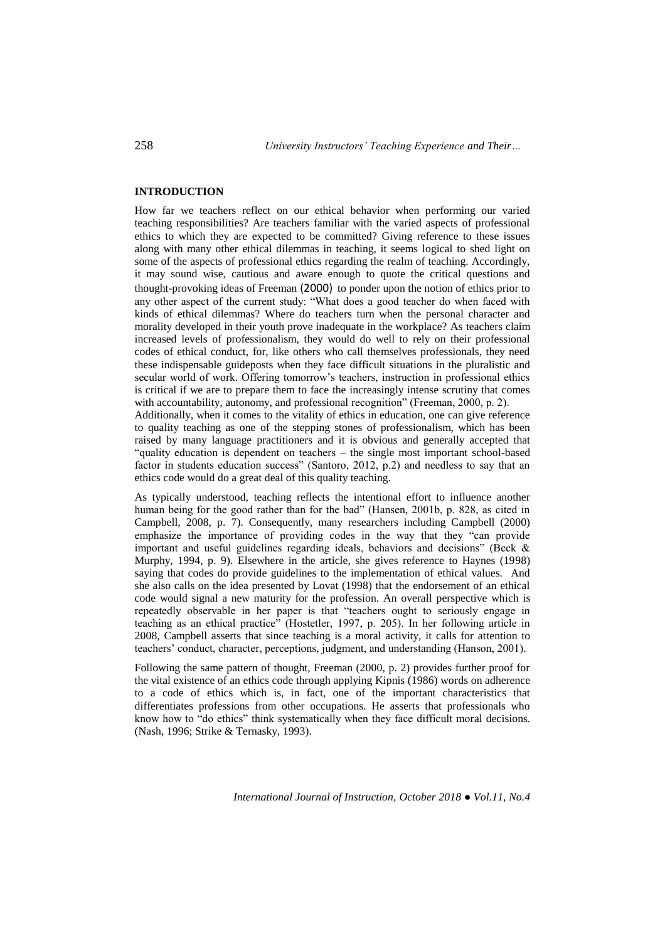## **INTRODUCTION**

How far we teachers reflect on our ethical behavior when performing our varied teaching responsibilities? Are teachers familiar with the varied aspects of professional ethics to which they are expected to be committed? Giving reference to these issues along with many other ethical dilemmas in teaching, it seems logical to shed light on some of the aspects of professional ethics regarding the realm of teaching. Accordingly, it may sound wise, cautious and aware enough to quote the critical questions and thought-provoking ideas of Freeman (2000) to ponder upon the notion of ethics prior to any other aspect of the current study: "What does a good teacher do when faced with kinds of ethical dilemmas? Where do teachers turn when the personal character and morality developed in their youth prove inadequate in the workplace? As teachers claim increased levels of professionalism, they would do well to rely on their professional codes of ethical conduct, for, like others who call themselves professionals, they need these indispensable guideposts when they face difficult situations in the pluralistic and secular world of work. Offering tomorrow's teachers, instruction in professional ethics is critical if we are to prepare them to face the increasingly intense scrutiny that comes with accountability, autonomy, and professional recognition" (Freeman, 2000, p. 2). Additionally, when it comes to the vitality of ethics in education, one can give reference

to quality teaching as one of the stepping stones of professionalism, which has been raised by many language practitioners and it is obvious and generally accepted that "quality education is dependent on teachers – the single most important school-based factor in students education success" (Santoro, 2012, p.2) and needless to say that an ethics code would do a great deal of this quality teaching.

As typically understood, teaching reflects the intentional effort to influence another human being for the good rather than for the bad" (Hansen, 2001b, p. 828, as cited in Campbell, 2008, p. 7). Consequently, many researchers including Campbell (2000) emphasize the importance of providing codes in the way that they "can provide important and useful guidelines regarding ideals, behaviors and decisions" (Beck & Murphy, 1994, p. 9). Elsewhere in the article, she gives reference to Haynes (1998) saying that codes do provide guidelines to the implementation of ethical values. And she also calls on the idea presented by Lovat (1998) that the endorsement of an ethical code would signal a new maturity for the profession. An overall perspective which is repeatedly observable in her paper is that "teachers ought to seriously engage in teaching as an ethical practice" (Hostetler, 1997, p. 205). In her following article in 2008, Campbell asserts that since teaching is a moral activity, it calls for attention to teachers' conduct, character, perceptions, judgment, and understanding (Hanson, 2001).

Following the same pattern of thought, Freeman (2000, p. 2) provides further proof for the vital existence of an ethics code through applying Kipnis (1986) words on adherence to a code of ethics which is, in fact, one of the important characteristics that differentiates professions from other occupations. He asserts that professionals who know how to "do ethics" think systematically when they face difficult moral decisions. (Nash, 1996; Strike & Ternasky, 1993).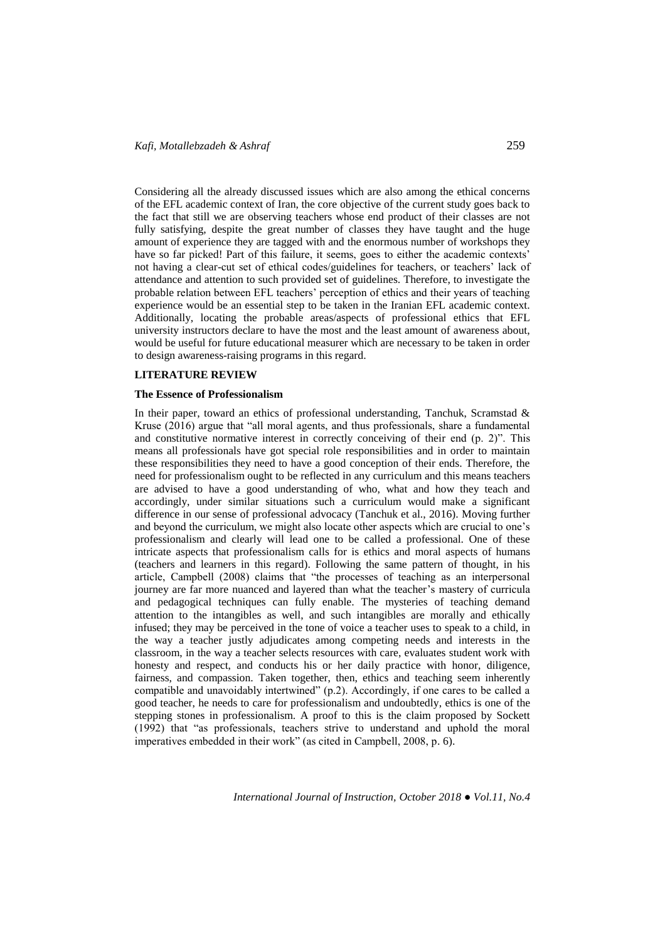Considering all the already discussed issues which are also among the ethical concerns of the EFL academic context of Iran, the core objective of the current study goes back to the fact that still we are observing teachers whose end product of their classes are not fully satisfying, despite the great number of classes they have taught and the huge amount of experience they are tagged with and the enormous number of workshops they have so far picked! Part of this failure, it seems, goes to either the academic contexts' not having a clear-cut set of ethical codes/guidelines for teachers, or teachers' lack of attendance and attention to such provided set of guidelines. Therefore, to investigate the probable relation between EFL teachers' perception of ethics and their years of teaching experience would be an essential step to be taken in the Iranian EFL academic context. Additionally, locating the probable areas/aspects of professional ethics that EFL university instructors declare to have the most and the least amount of awareness about, would be useful for future educational measurer which are necessary to be taken in order to design awareness-raising programs in this regard.

## **LITERATURE REVIEW**

#### **The Essence of Professionalism**

In their paper, toward an ethics of professional understanding, Tanchuk, Scramstad  $\&$ Kruse (2016) argue that "all moral agents, and thus professionals, share a fundamental and constitutive normative interest in correctly conceiving of their end (p. 2)". This means all professionals have got special role responsibilities and in order to maintain these responsibilities they need to have a good conception of their ends. Therefore, the need for professionalism ought to be reflected in any curriculum and this means teachers are advised to have a good understanding of who, what and how they teach and accordingly, under similar situations such a curriculum would make a significant difference in our sense of professional advocacy (Tanchuk et al., 2016). Moving further and beyond the curriculum, we might also locate other aspects which are crucial to one's professionalism and clearly will lead one to be called a professional. One of these intricate aspects that professionalism calls for is ethics and moral aspects of humans (teachers and learners in this regard). Following the same pattern of thought, in his article, Campbell (2008) claims that "the processes of teaching as an interpersonal journey are far more nuanced and layered than what the teacher's mastery of curricula and pedagogical techniques can fully enable. The mysteries of teaching demand attention to the intangibles as well, and such intangibles are morally and ethically infused; they may be perceived in the tone of voice a teacher uses to speak to a child, in the way a teacher justly adjudicates among competing needs and interests in the classroom, in the way a teacher selects resources with care, evaluates student work with honesty and respect, and conducts his or her daily practice with honor, diligence, fairness, and compassion. Taken together, then, ethics and teaching seem inherently compatible and unavoidably intertwined" (p.2). Accordingly, if one cares to be called a good teacher, he needs to care for professionalism and undoubtedly, ethics is one of the stepping stones in professionalism. A proof to this is the claim proposed by Sockett (1992) that "as professionals, teachers strive to understand and uphold the moral imperatives embedded in their work" (as cited in Campbell, 2008, p. 6).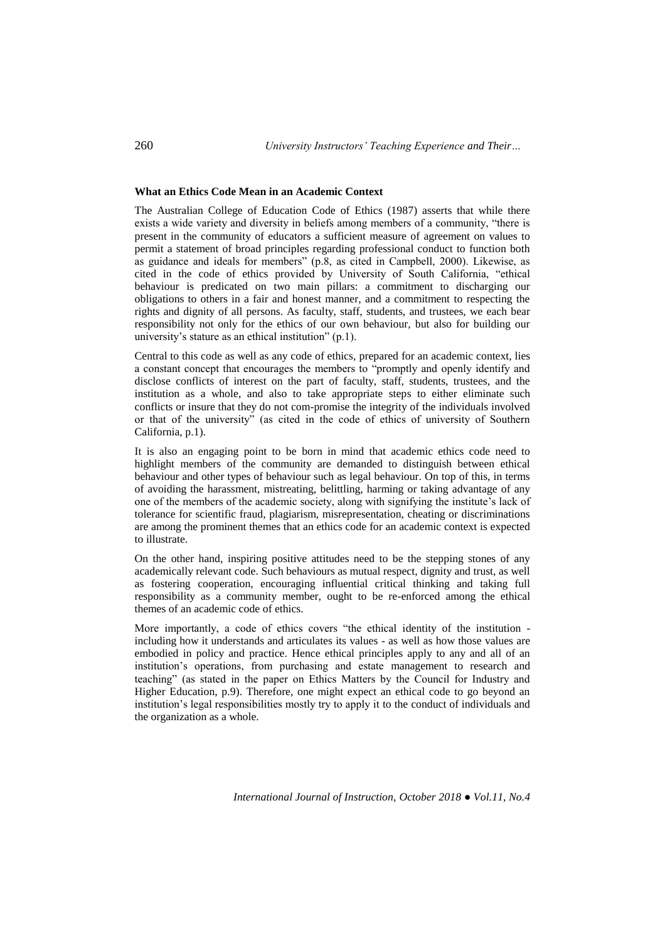### **What an Ethics Code Mean in an Academic Context**

The Australian College of Education Code of Ethics (1987) asserts that while there exists a wide variety and diversity in beliefs among members of a community, "there is present in the community of educators a sufficient measure of agreement on values to permit a statement of broad principles regarding professional conduct to function both as guidance and ideals for members" (p.8, as cited in Campbell, 2000). Likewise, as cited in the code of ethics provided by University of South California, "ethical behaviour is predicated on two main pillars: a commitment to discharging our obligations to others in a fair and honest manner, and a commitment to respecting the rights and dignity of all persons. As faculty, staff, students, and trustees, we each bear responsibility not only for the ethics of our own behaviour, but also for building our university's stature as an ethical institution" (p.1).

Central to this code as well as any code of ethics, prepared for an academic context, lies a constant concept that encourages the members to "promptly and openly identify and disclose conflicts of interest on the part of faculty, staff, students, trustees, and the institution as a whole, and also to take appropriate steps to either eliminate such conflicts or insure that they do not com-promise the integrity of the individuals involved or that of the university" (as cited in the code of ethics of university of Southern California, p.1).

It is also an engaging point to be born in mind that academic ethics code need to highlight members of the community are demanded to distinguish between ethical behaviour and other types of behaviour such as legal behaviour. On top of this, in terms of avoiding the harassment, mistreating, belittling, harming or taking advantage of any one of the members of the academic society, along with signifying the institute's lack of tolerance for scientific fraud, plagiarism, misrepresentation, cheating or discriminations are among the prominent themes that an ethics code for an academic context is expected to illustrate.

On the other hand, inspiring positive attitudes need to be the stepping stones of any academically relevant code. Such behaviours as mutual respect, dignity and trust, as well as fostering cooperation, encouraging influential critical thinking and taking full responsibility as a community member, ought to be re-enforced among the ethical themes of an academic code of ethics.

More importantly, a code of ethics covers "the ethical identity of the institution including how it understands and articulates its values - as well as how those values are embodied in policy and practice. Hence ethical principles apply to any and all of an institution's operations, from purchasing and estate management to research and teaching" (as stated in the paper on Ethics Matters by the Council for Industry and Higher Education, p.9). Therefore, one might expect an ethical code to go beyond an institution's legal responsibilities mostly try to apply it to the conduct of individuals and the organization as a whole.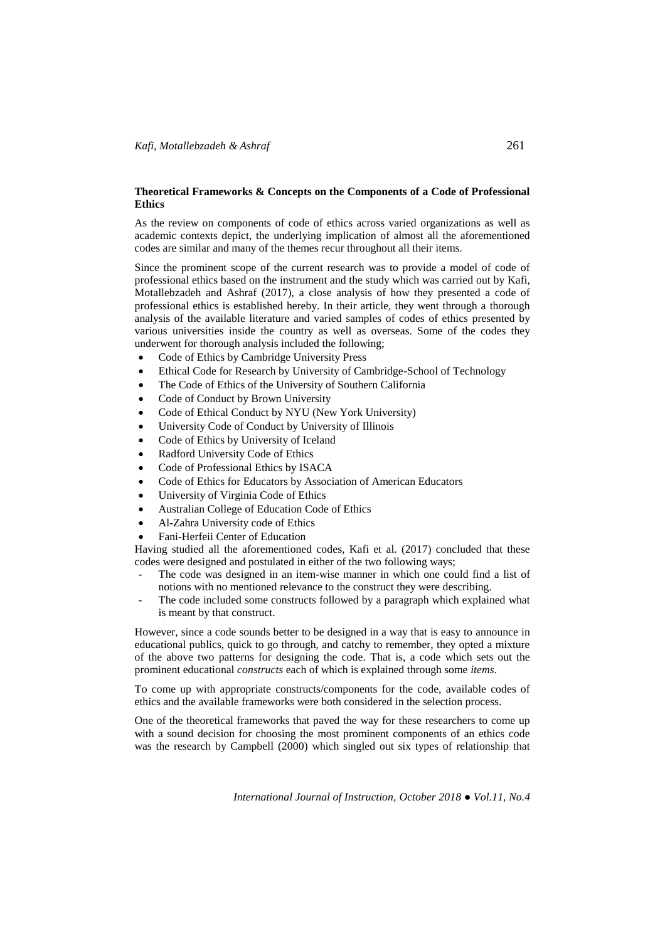## **Theoretical Frameworks & Concepts on the Components of a Code of Professional Ethics**

As the review on components of code of ethics across varied organizations as well as academic contexts depict, the underlying implication of almost all the aforementioned codes are similar and many of the themes recur throughout all their items.

Since the prominent scope of the current research was to provide a model of code of professional ethics based on the instrument and the study which was carried out by Kafi, Motallebzadeh and Ashraf (2017), a close analysis of how they presented a code of professional ethics is established hereby. In their article, they went through a thorough analysis of the available literature and varied samples of codes of ethics presented by various universities inside the country as well as overseas. Some of the codes they underwent for thorough analysis included the following;

- Code of Ethics by Cambridge University Press
- Ethical Code for Research by University of Cambridge-School of Technology
- The Code of Ethics of the University of Southern California
- Code of Conduct by Brown University
- Code of Ethical Conduct by NYU (New York University)
- University Code of Conduct by University of Illinois
- Code of Ethics by University of Iceland
- Radford University Code of Ethics
- Code of Professional Ethics by ISACA
- Code of Ethics for Educators by Association of American Educators
- University of Virginia Code of Ethics
- Australian College of Education Code of Ethics
- Al-Zahra University code of Ethics
- Fani-Herfeii Center of Education

Having studied all the aforementioned codes, Kafi et al. (2017) concluded that these codes were designed and postulated in either of the two following ways;

- The code was designed in an item-wise manner in which one could find a list of notions with no mentioned relevance to the construct they were describing.
- The code included some constructs followed by a paragraph which explained what is meant by that construct.

However, since a code sounds better to be designed in a way that is easy to announce in educational publics, quick to go through, and catchy to remember, they opted a mixture of the above two patterns for designing the code. That is, a code which sets out the prominent educational *constructs* each of which is explained through some *items*.

To come up with appropriate constructs/components for the code, available codes of ethics and the available frameworks were both considered in the selection process.

One of the theoretical frameworks that paved the way for these researchers to come up with a sound decision for choosing the most prominent components of an ethics code was the research by Campbell (2000) which singled out six types of relationship that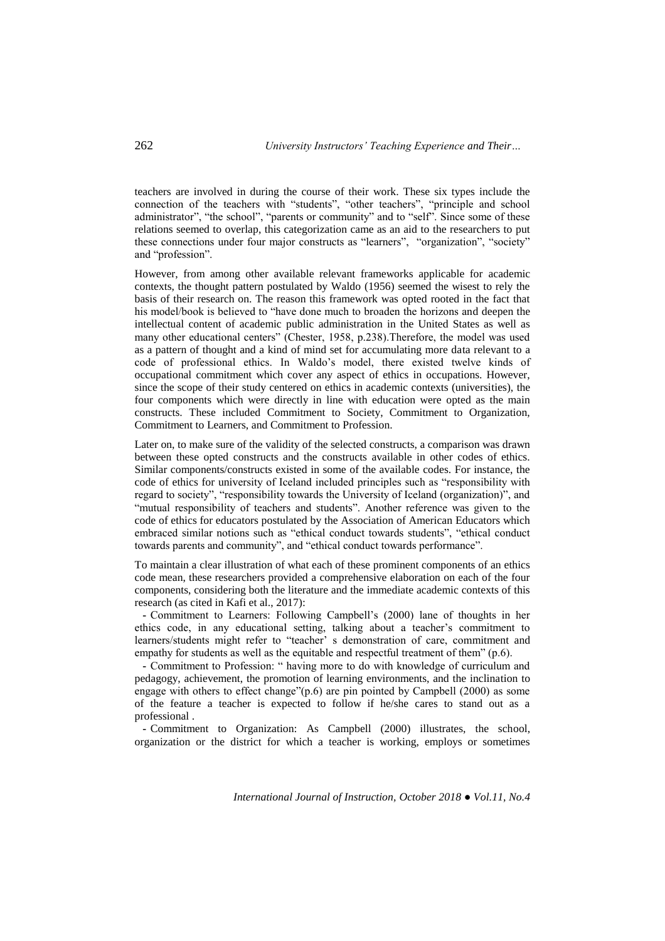teachers are involved in during the course of their work. These six types include the connection of the teachers with "students", "other teachers", "principle and school administrator", "the school", "parents or community" and to "self". Since some of these relations seemed to overlap, this categorization came as an aid to the researchers to put these connections under four major constructs as "learners", "organization", "society" and "profession".

However, from among other available relevant frameworks applicable for academic contexts, the thought pattern postulated by Waldo (1956) seemed the wisest to rely the basis of their research on. The reason this framework was opted rooted in the fact that his model/book is believed to "have done much to broaden the horizons and deepen the intellectual content of academic public administration in the United States as well as many other educational centers" (Chester, 1958, p.238).Therefore, the model was used as a pattern of thought and a kind of mind set for accumulating more data relevant to a code of professional ethics. In Waldo's model, there existed twelve kinds of occupational commitment which cover any aspect of ethics in occupations. However, since the scope of their study centered on ethics in academic contexts (universities), the four components which were directly in line with education were opted as the main constructs. These included Commitment to Society, Commitment to Organization, Commitment to Learners, and Commitment to Profession.

Later on, to make sure of the validity of the selected constructs, a comparison was drawn between these opted constructs and the constructs available in other codes of ethics. Similar components/constructs existed in some of the available codes. For instance, the code of ethics for university of Iceland included principles such as "responsibility with regard to society", "responsibility towards the University of Iceland (organization)", and "mutual responsibility of teachers and students". Another reference was given to the code of ethics for educators postulated by the Association of American Educators which embraced similar notions such as "ethical conduct towards students", "ethical conduct towards parents and community", and "ethical conduct towards performance".

To maintain a clear illustration of what each of these prominent components of an ethics code mean, these researchers provided a comprehensive elaboration on each of the four components, considering both the literature and the immediate academic contexts of this research (as cited in Kafi et al., 2017):

**-** Commitment to Learners: Following Campbell's (2000) lane of thoughts in her ethics code, in any educational setting, talking about a teacher's commitment to learners/students might refer to "teacher' s demonstration of care, commitment and empathy for students as well as the equitable and respectful treatment of them" (p.6).

**-** Commitment to Profession: " having more to do with knowledge of curriculum and pedagogy, achievement, the promotion of learning environments, and the inclination to engage with others to effect change"(p.6) are pin pointed by Campbell (2000) as some of the feature a teacher is expected to follow if he/she cares to stand out as a professional .

**-** Commitment to Organization: As Campbell (2000) illustrates, the school, organization or the district for which a teacher is working, employs or sometimes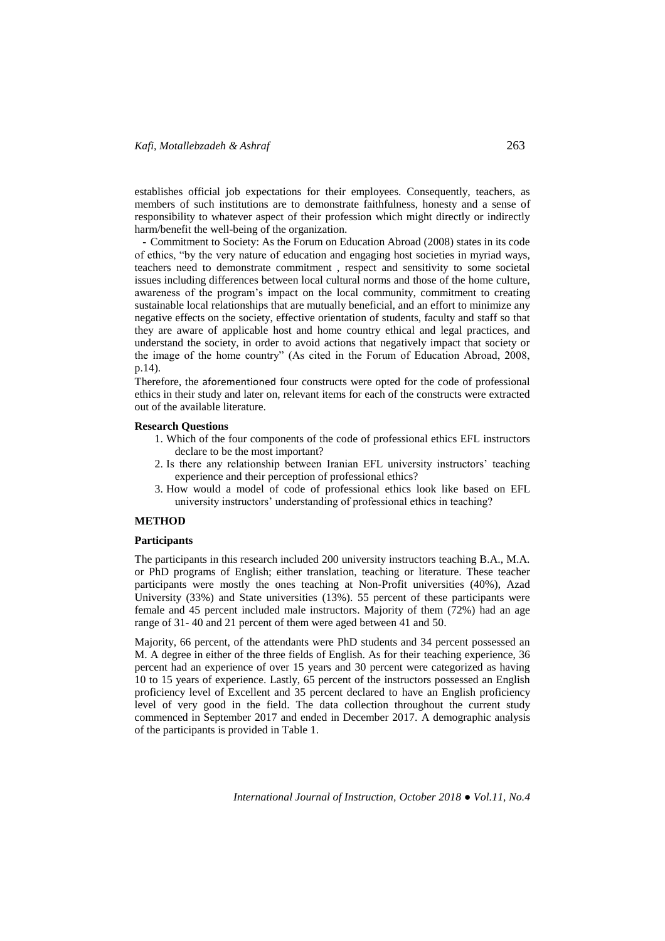establishes official job expectations for their employees. Consequently, teachers, as members of such institutions are to demonstrate faithfulness, honesty and a sense of responsibility to whatever aspect of their profession which might directly or indirectly harm/benefit the well-being of the organization.

**-** Commitment to Society: As the Forum on Education Abroad (2008) states in its code of ethics, "by the very nature of education and engaging host societies in myriad ways, teachers need to demonstrate commitment , respect and sensitivity to some societal issues including differences between local cultural norms and those of the home culture, awareness of the program's impact on the local community, commitment to creating sustainable local relationships that are mutually beneficial, and an effort to minimize any negative effects on the society, effective orientation of students, faculty and staff so that they are aware of applicable host and home country ethical and legal practices, and understand the society, in order to avoid actions that negatively impact that society or the image of the home country" (As cited in the Forum of Education Abroad, 2008, p.14).

Therefore, the aforementioned four constructs were opted for the code of professional ethics in their study and later on, relevant items for each of the constructs were extracted out of the available literature.

#### **Research Questions**

- 1. Which of the four components of the code of professional ethics EFL instructors declare to be the most important?
- 2. Is there any relationship between Iranian EFL university instructors' teaching experience and their perception of professional ethics?
- 3. How would a model of code of professional ethics look like based on EFL university instructors' understanding of professional ethics in teaching?

## **METHOD**

### **Participants**

The participants in this research included 200 university instructors teaching B.A., M.A. or PhD programs of English; either translation, teaching or literature. These teacher participants were mostly the ones teaching at Non-Profit universities (40%), Azad University (33%) and State universities (13%). 55 percent of these participants were female and 45 percent included male instructors. Majority of them (72%) had an age range of 31- 40 and 21 percent of them were aged between 41 and 50.

Majority, 66 percent, of the attendants were PhD students and 34 percent possessed an M. A degree in either of the three fields of English. As for their teaching experience, 36 percent had an experience of over 15 years and 30 percent were categorized as having 10 to 15 years of experience. Lastly, 65 percent of the instructors possessed an English proficiency level of Excellent and 35 percent declared to have an English proficiency level of very good in the field. The data collection throughout the current study commenced in September 2017 and ended in December 2017. A demographic analysis of the participants is provided in Table 1.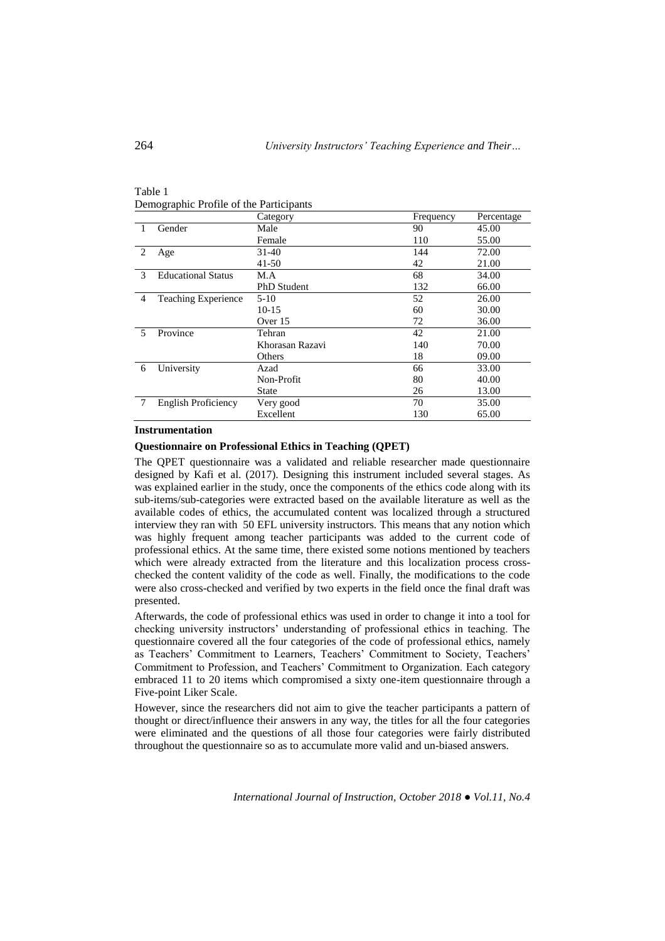| Table I                                 |  |  |
|-----------------------------------------|--|--|
| Demographic Profile of the Participants |  |  |

|                               |                            | Category           | Frequency | Percentage |
|-------------------------------|----------------------------|--------------------|-----------|------------|
|                               | Gender                     | Male               | 90        | 45.00      |
|                               |                            | Female             | 110       | 55.00      |
| $\mathfrak{D}_{\mathfrak{p}}$ | Age                        | 31-40              | 144       | 72.00      |
|                               |                            | $41 - 50$          | 42        | 21.00      |
| $\mathcal{R}$                 | <b>Educational Status</b>  | M.A                | 68        | 34.00      |
|                               |                            | <b>PhD</b> Student | 132       | 66.00      |
| $\overline{4}$                | <b>Teaching Experience</b> | $5-10$             | 52        | 26.00      |
|                               |                            | $10-15$            | 60        | 30.00      |
|                               |                            | Over 15            | 72        | 36.00      |
| 5                             | Province                   | Tehran             | 42        | 21.00      |
|                               |                            | Khorasan Razavi    | 140       | 70.00      |
|                               |                            | Others             | 18        | 09.00      |
| 6                             | University                 | Azad               | 66        | 33.00      |
|                               |                            | Non-Profit         | 80        | 40.00      |
|                               |                            | <b>State</b>       | 26        | 13.00      |
|                               | <b>English Proficiency</b> | Very good          | 70        | 35.00      |
|                               |                            | Excellent          | 130       | 65.00      |

#### **Instrumentation**

## **Questionnaire on Professional Ethics in Teaching (QPET)**

The QPET questionnaire was a validated and reliable researcher made questionnaire designed by Kafi et al. (2017). Designing this instrument included several stages. As was explained earlier in the study, once the components of the ethics code along with its sub-items/sub-categories were extracted based on the available literature as well as the available codes of ethics, the accumulated content was localized through a structured interview they ran with 50 EFL university instructors. This means that any notion which was highly frequent among teacher participants was added to the current code of professional ethics. At the same time, there existed some notions mentioned by teachers which were already extracted from the literature and this localization process crosschecked the content validity of the code as well. Finally, the modifications to the code were also cross-checked and verified by two experts in the field once the final draft was presented.

Afterwards, the code of professional ethics was used in order to change it into a tool for checking university instructors' understanding of professional ethics in teaching. The questionnaire covered all the four categories of the code of professional ethics, namely as Teachers' Commitment to Learners, Teachers' Commitment to Society, Teachers' Commitment to Profession, and Teachers' Commitment to Organization. Each category embraced 11 to 20 items which compromised a sixty one-item questionnaire through a Five-point Liker Scale.

However, since the researchers did not aim to give the teacher participants a pattern of thought or direct/influence their answers in any way, the titles for all the four categories were eliminated and the questions of all those four categories were fairly distributed throughout the questionnaire so as to accumulate more valid and un-biased answers.

Table 1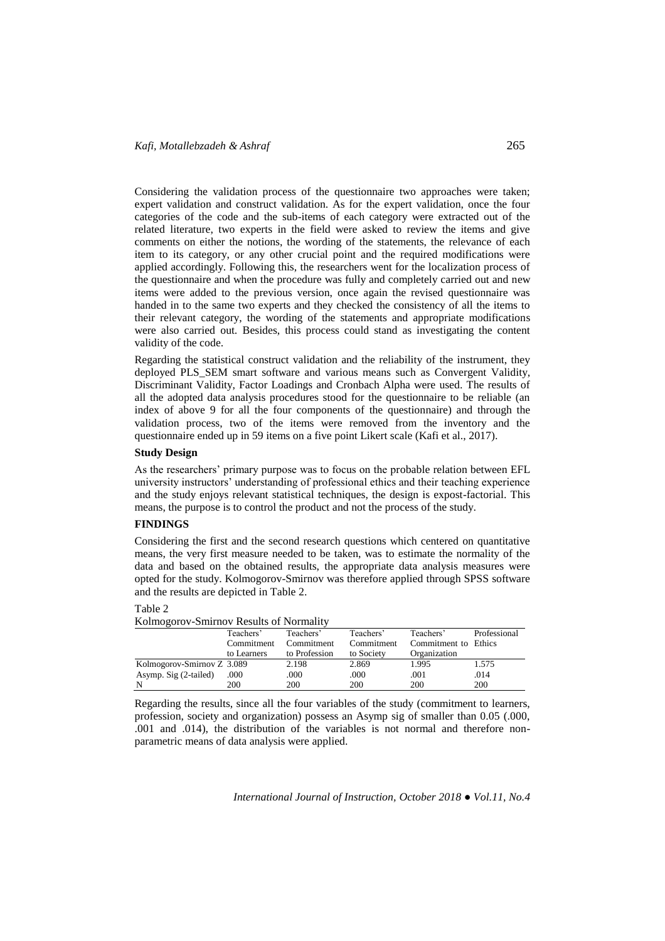Considering the validation process of the questionnaire two approaches were taken; expert validation and construct validation. As for the expert validation, once the four categories of the code and the sub-items of each category were extracted out of the related literature, two experts in the field were asked to review the items and give comments on either the notions, the wording of the statements, the relevance of each item to its category, or any other crucial point and the required modifications were applied accordingly. Following this, the researchers went for the localization process of the questionnaire and when the procedure was fully and completely carried out and new items were added to the previous version, once again the revised questionnaire was handed in to the same two experts and they checked the consistency of all the items to their relevant category, the wording of the statements and appropriate modifications were also carried out. Besides, this process could stand as investigating the content validity of the code.

Regarding the statistical construct validation and the reliability of the instrument, they deployed PLS\_SEM smart software and various means such as Convergent Validity, Discriminant Validity, Factor Loadings and Cronbach Alpha were used. The results of all the adopted data analysis procedures stood for the questionnaire to be reliable (an index of above 9 for all the four components of the questionnaire) and through the validation process, two of the items were removed from the inventory and the questionnaire ended up in 59 items on a five point Likert scale (Kafi et al., 2017).

## **Study Design**

As the researchers' primary purpose was to focus on the probable relation between EFL university instructors' understanding of professional ethics and their teaching experience and the study enjoys relevant statistical techniques, the design is expost-factorial. This means, the purpose is to control the product and not the process of the study.

## **FINDINGS**

Considering the first and the second research questions which centered on quantitative means, the very first measure needed to be taken, was to estimate the normality of the data and based on the obtained results, the appropriate data analysis measures were opted for the study. Kolmogorov-Smirnov was therefore applied through SPSS software and the results are depicted in Table 2.

#### Table 2

Kolmogorov-Smirnov Results of Normality

|                            | Teachers'   | Teachers'     | Teachers'  | Teachers'            | Professional |
|----------------------------|-------------|---------------|------------|----------------------|--------------|
|                            | Commitment  | Commitment    | Commitment | Commitment to Ethics |              |
|                            | to Learners | to Profession | to Society | Organization         |              |
| Kolmogorov-Smirnov Z 3.089 |             | 2.198         | 2.869      | 1.995                | 1.575        |
| Asymp. Sig (2-tailed)      | .000        | .000          | .000       | .001                 | .014         |
| N                          | 200         | 200           | 200        | 200                  | 200          |

Regarding the results, since all the four variables of the study (commitment to learners, profession, society and organization) possess an Asymp sig of smaller than 0.05 (.000, .001 and .014), the distribution of the variables is not normal and therefore nonparametric means of data analysis were applied.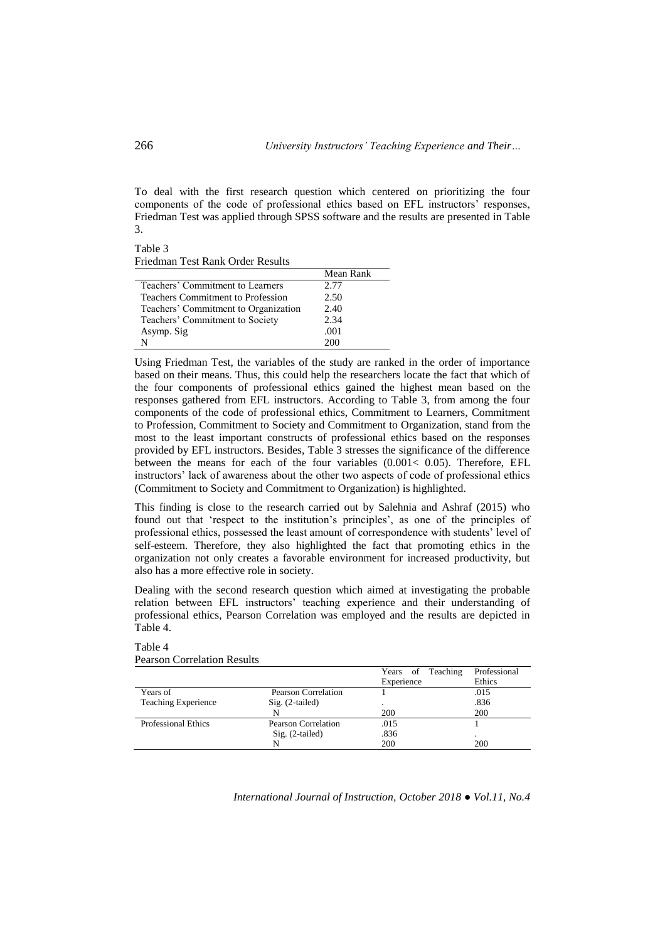To deal with the first research question which centered on prioritizing the four components of the code of professional ethics based on EFL instructors' responses, Friedman Test was applied through SPSS software and the results are presented in Table 3.

Table 3 Friedman Test Rank Order Results

|                                          | Mean Rank |
|------------------------------------------|-----------|
| Teachers' Commitment to Learners         | 2.77      |
| <b>Teachers Commitment to Profession</b> | 2.50      |
| Teachers' Commitment to Organization     | 2.40      |
| Teachers' Commitment to Society          | 2.34      |
| Asymp. Sig                               | .001      |
|                                          | 200       |

Using Friedman Test, the variables of the study are ranked in the order of importance based on their means. Thus, this could help the researchers locate the fact that which of the four components of professional ethics gained the highest mean based on the responses gathered from EFL instructors. According to Table 3, from among the four components of the code of professional ethics, Commitment to Learners, Commitment to Profession, Commitment to Society and Commitment to Organization, stand from the most to the least important constructs of professional ethics based on the responses provided by EFL instructors. Besides, Table 3 stresses the significance of the difference between the means for each of the four variables (0.001< 0.05). Therefore, EFL instructors' lack of awareness about the other two aspects of code of professional ethics (Commitment to Society and Commitment to Organization) is highlighted.

This finding is close to the research carried out by Salehnia and Ashraf (2015) who found out that 'respect to the institution's principles', as one of the principles of professional ethics, possessed the least amount of correspondence with students' level of self-esteem. Therefore, they also highlighted the fact that promoting ethics in the organization not only creates a favorable environment for increased productivity, but also has a more effective role in society.

Dealing with the second research question which aimed at investigating the probable relation between EFL instructors' teaching experience and their understanding of professional ethics, Pearson Correlation was employed and the results are depicted in Table 4.

|                            |                            | Teaching<br>Years of | Professional |
|----------------------------|----------------------------|----------------------|--------------|
|                            |                            | Experience           | Ethics       |
| Years of                   | Pearson Correlation        |                      | .015         |
| <b>Teaching Experience</b> | $Sig. (2-tailed)$          |                      | .836         |
|                            |                            | 200                  | 200          |
| Professional Ethics        | <b>Pearson Correlation</b> | .015                 |              |
|                            | $Sig. (2-tailed)$          | .836                 | $\cdot$      |
|                            |                            | 200                  | 200          |

### Table 4  $P_{\text{event}}$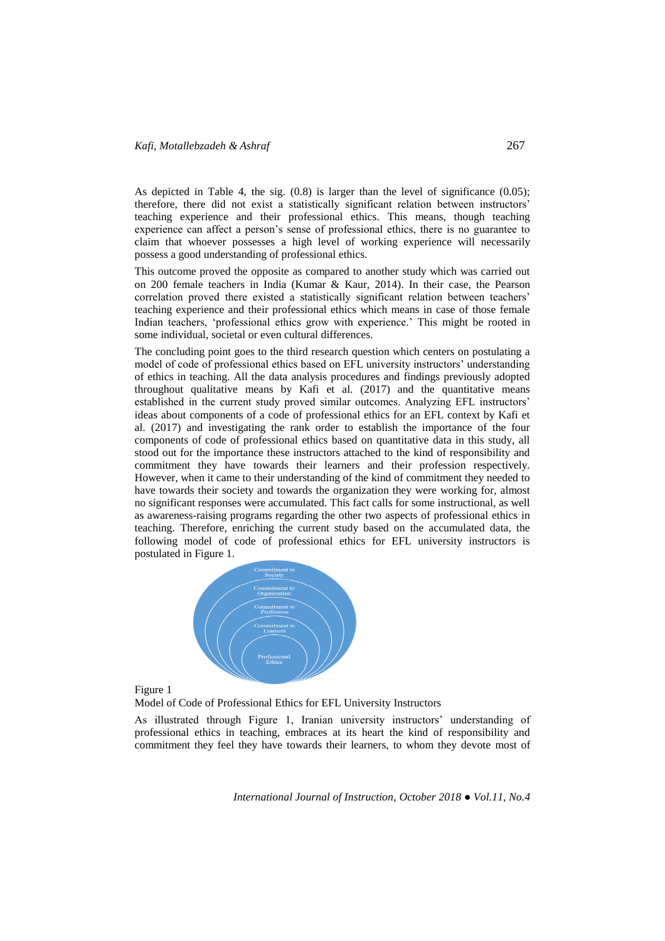As depicted in Table 4, the sig.  $(0.8)$  is larger than the level of significance  $(0.05)$ ; therefore, there did not exist a statistically significant relation between instructors' teaching experience and their professional ethics. This means, though teaching experience can affect a person's sense of professional ethics, there is no guarantee to claim that whoever possesses a high level of working experience will necessarily possess a good understanding of professional ethics.

This outcome proved the opposite as compared to another study which was carried out on 200 female teachers in India (Kumar & Kaur, 2014). In their case, the Pearson correlation proved there existed a statistically significant relation between teachers' teaching experience and their professional ethics which means in case of those female Indian teachers, 'professional ethics grow with experience.' This might be rooted in some individual, societal or even cultural differences.

The concluding point goes to the third research question which centers on postulating a model of code of professional ethics based on EFL university instructors' understanding of ethics in teaching. All the data analysis procedures and findings previously adopted throughout qualitative means by Kafi et al. (2017) and the quantitative means established in the current study proved similar outcomes. Analyzing EFL instructors' ideas about components of a code of professional ethics for an EFL context by Kafi et al. (2017) and investigating the rank order to establish the importance of the four components of code of professional ethics based on quantitative data in this study, all stood out for the importance these instructors attached to the kind of responsibility and commitment they have towards their learners and their profession respectively. However, when it came to their understanding of the kind of commitment they needed to have towards their society and towards the organization they were working for, almost no significant responses were accumulated. This fact calls for some instructional, as well as awareness-raising programs regarding the other two aspects of professional ethics in teaching. Therefore, enriching the current study based on the accumulated data, the following model of code of professional ethics for EFL university instructors is postulated in Figure 1.



Figure 1

Model of Code of Professional Ethics for EFL University Instructors

As illustrated through Figure 1, Iranian university instructors' understanding of professional ethics in teaching, embraces at its heart the kind of responsibility and commitment they feel they have towards their learners, to whom they devote most of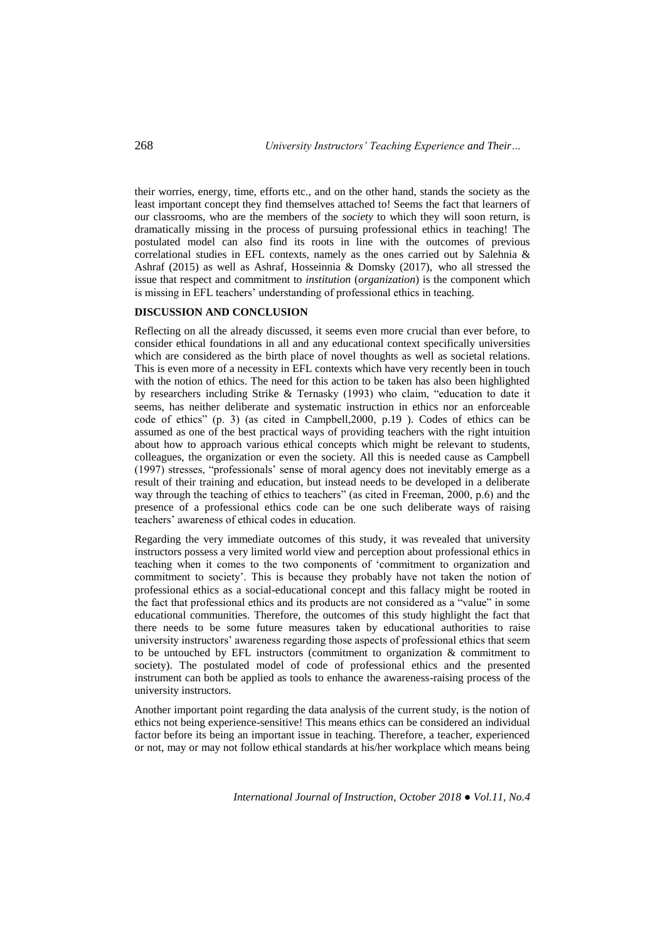their worries, energy, time, efforts etc., and on the other hand, stands the society as the least important concept they find themselves attached to! Seems the fact that learners of our classrooms, who are the members of the *society* to which they will soon return, is dramatically missing in the process of pursuing professional ethics in teaching! The postulated model can also find its roots in line with the outcomes of previous correlational studies in EFL contexts, namely as the ones carried out by Salehnia  $\&$ Ashraf (2015) as well as Ashraf, Hosseinnia & Domsky (2017), who all stressed the issue that respect and commitment to *institution* (*organization*) is the component which is missing in EFL teachers' understanding of professional ethics in teaching.

## **DISCUSSION AND CONCLUSION**

Reflecting on all the already discussed, it seems even more crucial than ever before, to consider ethical foundations in all and any educational context specifically universities which are considered as the birth place of novel thoughts as well as societal relations. This is even more of a necessity in EFL contexts which have very recently been in touch with the notion of ethics. The need for this action to be taken has also been highlighted by researchers including Strike & Ternasky (1993) who claim, "education to date it seems, has neither deliberate and systematic instruction in ethics nor an enforceable code of ethics" (p. 3) (as cited in Campbell,2000, p.19 ). Codes of ethics can be assumed as one of the best practical ways of providing teachers with the right intuition about how to approach various ethical concepts which might be relevant to students, colleagues, the organization or even the society. All this is needed cause as Campbell (1997) stresses, "professionals' sense of moral agency does not inevitably emerge as a result of their training and education, but instead needs to be developed in a deliberate way through the teaching of ethics to teachers" (as cited in Freeman, 2000, p.6) and the presence of a professional ethics code can be one such deliberate ways of raising teachers' awareness of ethical codes in education.

Regarding the very immediate outcomes of this study, it was revealed that university instructors possess a very limited world view and perception about professional ethics in teaching when it comes to the two components of 'commitment to organization and commitment to society'. This is because they probably have not taken the notion of professional ethics as a social-educational concept and this fallacy might be rooted in the fact that professional ethics and its products are not considered as a "value" in some educational communities. Therefore, the outcomes of this study highlight the fact that there needs to be some future measures taken by educational authorities to raise university instructors' awareness regarding those aspects of professional ethics that seem to be untouched by EFL instructors (commitment to organization & commitment to society). The postulated model of code of professional ethics and the presented instrument can both be applied as tools to enhance the awareness-raising process of the university instructors.

Another important point regarding the data analysis of the current study, is the notion of ethics not being experience-sensitive! This means ethics can be considered an individual factor before its being an important issue in teaching. Therefore, a teacher, experienced or not, may or may not follow ethical standards at his/her workplace which means being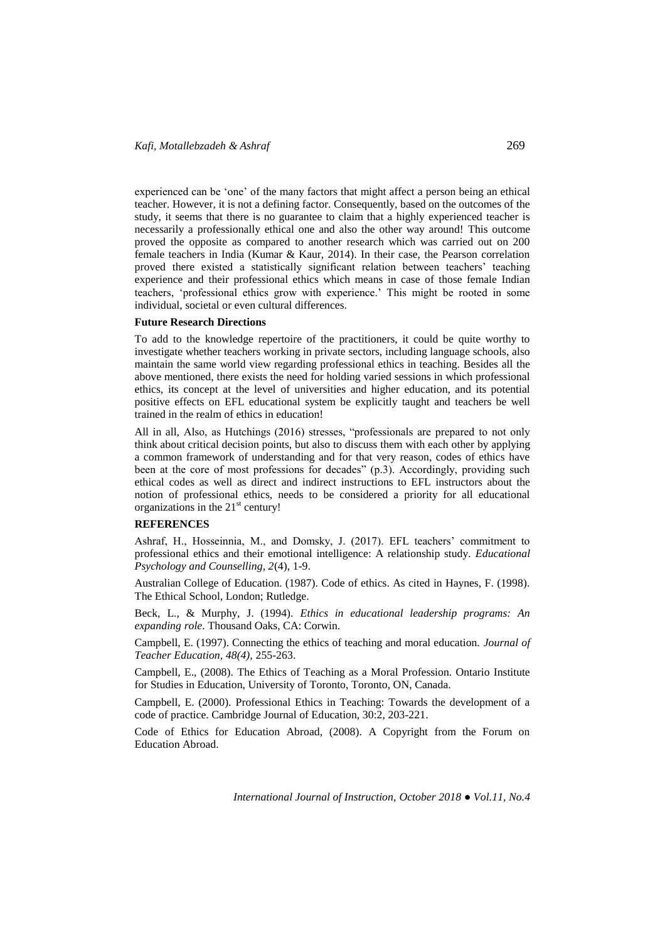experienced can be 'one' of the many factors that might affect a person being an ethical teacher. However, it is not a defining factor. Consequently, based on the outcomes of the study, it seems that there is no guarantee to claim that a highly experienced teacher is necessarily a professionally ethical one and also the other way around! This outcome proved the opposite as compared to another research which was carried out on 200 female teachers in India (Kumar & Kaur, 2014). In their case, the Pearson correlation proved there existed a statistically significant relation between teachers' teaching experience and their professional ethics which means in case of those female Indian teachers, 'professional ethics grow with experience.' This might be rooted in some individual, societal or even cultural differences.

#### **Future Research Directions**

To add to the knowledge repertoire of the practitioners, it could be quite worthy to investigate whether teachers working in private sectors, including language schools, also maintain the same world view regarding professional ethics in teaching. Besides all the above mentioned, there exists the need for holding varied sessions in which professional ethics, its concept at the level of universities and higher education, and its potential positive effects on EFL educational system be explicitly taught and teachers be well trained in the realm of ethics in education!

All in all, Also, as Hutchings (2016) stresses, "professionals are prepared to not only think about critical decision points, but also to discuss them with each other by applying a common framework of understanding and for that very reason, codes of ethics have been at the core of most professions for decades" (p.3). Accordingly, providing such ethical codes as well as direct and indirect instructions to EFL instructors about the notion of professional ethics, needs to be considered a priority for all educational organizations in the 21<sup>st</sup> century!

# **REFERENCES**

Ashraf, H., Hosseinnia, M., and Domsky, J. (2017). EFL teachers' commitment to professional ethics and their emotional intelligence: A relationship study*. Educational Psychology and Counselling, 2*(4), 1-9.

Australian College of Education. (1987). Code of ethics. As cited in Haynes, F. (1998). The Ethical School, London; Rutledge.

Beck, L., & Murphy, J. (1994). *Ethics in educational leadership programs: An expanding role*. Thousand Oaks, CA: Corwin.

Campbell, E. (1997). Connecting the ethics of teaching and moral education. *Journal of Teacher Education, 48(4),* 255-263.

Campbell, E., (2008). The Ethics of Teaching as a Moral Profession. Ontario Institute for Studies in Education, University of Toronto, Toronto, ON, Canada.

Campbell, E. (2000). Professional Ethics in Teaching: Towards the development of a code of practice. Cambridge Journal of Education, 30:2, 203-221.

Code of Ethics for Education Abroad, (2008). A Copyright from the Forum on Education Abroad.